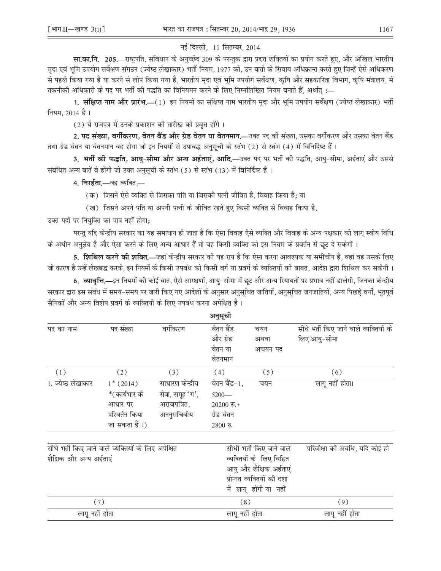## नई दिल्ली, 11 सितम्बर, 2014

**सा.का.नि. 205.**—राष्ट्रपति, संविधान के अनुच्छेद 309 के परन्तुक द्वारा प्रदत्त शक्तियों का प्रयोग करते हुए, और अखिल भारतीय मृदा एवं भूमि उपयोग सर्वेक्षण संगठन (ज्येष्ठ लेखाकार) भर्ती नियम, 1977 को, उन बातो के सिवाय अधिक्रान्त करते हुए जिन्हें ऐसे अधिकरण से पहले किया गया है या करने से लोप किया गया है, भारतीय मृदा एवं भूमि उपयोग सर्वेक्षण, कृषि और सहकारिता विभाग, कृषि मंत्रालय, में ... तकनीकी अधिकारी के पद पर भर्ती की पद्धति का विनियमन करने के लिए निम्नलिखित नियम बनाते हैं, अर्थात्

1. **संक्षिप्त नाम और प्रारंभ.—**(1) इन नियमों का संक्षिप्त नाम भारतीय मृदा और भूमि उपयोग सर्वेक्षण (ज्येष्ठ लेखाकार) भर्ती नियम. 2014 है।

(2) ये राजपत्र में उनके प्रकाशन की तारीख को प्रवृत्त होंगे।

2. पद संख्या, वर्गीकरण, वेतन बैंड और ग्रेड वेतन या वेतनमान.—उक्त पद की संख्या, उसका वर्गीकरण और उसका वेतन बैंड तथा ग्रेड वेतन या वेतनमान वह होगा जो इन नियमों से उपाबद्ध अनुसूची के स्तंभ (2) से स्तंभ (4) में विनिर्दिष्ट हैं।

3. भर्ती की पद्धति, आयु-सीमा और अन्य अर्हताएं, आदि,—उक्त पद पर भर्ती की पद्धति, आयु-सीमा, अर्हताएं और उससे संबंधित अन्य बातें वे होंगी जो उक्त अनुसूची के स्तंभ (5) से स्तंभ (13) में विनिर्दिष्ट हैं।

4. निरर्हता.—वह व्यक्ति,—

(क) जिसने ऐसे व्यक्ति से जिसका पति या जिसकी पत्नी जीवित है. विवाह किया है: या

(ख) जिसने अपने पति या अपनी पत्नी के जीवित रहते हुए किसी व्यक्ति से विवाह किया है,

उक्त पदों पर नियुक्ति का पात्र नहीं होगा;

परन्तु यदि केन्द्रीय सरकार का यह समाधान हो जाता है कि ऐसा विवाह ऐसे व्यक्ति और विवाह के अन्य पक्षकार को लागु स्वीय विधि के अधीन अनुज्ञेय है और ऐसा करने के लिए अन्य आधार हैं तो वह किसी व्यक्ति को इस नियम के प्रवर्तन से छट दे सकेगी ।

5. **शिथिल करने की शक्ति.—**जहां केन्द्रीय सरकार की यह राय है कि ऐसा करना आवश्यक या समीचीन है, वहां वह उसके लिए जो कारण हैं उन्हें लेखबद्ध करके, इन नियमों के किसी उपबंध को किसी वर्ग या प्रवर्ग के व्यक्तियों की बाबत, आदेश द्वारा शिथिल कर सकेगी ।

6. व्यावृत्ति.—इन नियमों की कोई बात, ऐसे आरक्षणों, आय्-सीमा में छूट और अन्य रियायतों पर प्रभाव नहीं डालेगी, जिनका केन्द्रीय सरकार द्वारा इस संबंध में समय–समय पर जारी किए गए आदेशों के अनुसार अनुसूचित जातियों, अनुसूचित जनजातियों, अन्य पिछड़े वर्गों, भूतपूर्व सैनिकों और अन्य विशेष प्रवर्ग के व्यक्तियों के लिए उपबंध करना अपेक्षित है ।

|                          |                                                                         |                                                                  | अनुसूची                                                                                                    |                          |                                                        |
|--------------------------|-------------------------------------------------------------------------|------------------------------------------------------------------|------------------------------------------------------------------------------------------------------------|--------------------------|--------------------------------------------------------|
| पद का नाम                | पद संख्या                                                               | वर्गीकरण                                                         | वेतन बैंड<br>और ग्रेड<br>वेतन या<br>वेतनमान                                                                | चयन<br>अथवा<br>अचयन पद   | सीधे भर्ती किए जाने वाले व्यक्तियों के<br>लिए आयु-सीमा |
| (1)                      | (2)                                                                     | (3)                                                              | (4)                                                                                                        | (5)                      | (6)                                                    |
| 1. ज्येष्ठ लेखाकार       | $1*(2014)$<br>*(कार्यभार के<br>आधार पर<br>परिवर्तन किया<br>जा सकता है।) | साधारण केन्द्रीय<br>सेवा, समूह 'ग',<br>अराजपत्रित,<br>अननुसचिवीय | वेतन बैंड-1,<br>$5200 -$<br>$20200$ रु.+<br>ग्रेड वेतन<br>$2800$ रु.                                       | चयन                      | लागू नहीं होता।                                        |
|                          | सीधे भर्ती किए जाने वाले व्यक्तियों के लिए अपेक्षित                     |                                                                  |                                                                                                            | सीधी भर्ती किए जाने वाले | परिवीक्षा को अवधि, यदि कोई हो                          |
| शैक्षिक और अन्य अर्हताएं |                                                                         |                                                                  | व्यक्तियों के लिए विहित<br>आयु और शैक्षिक अर्हताएं<br>प्रोन्नत व्यक्तियों की दशा<br>में लागू होंगी या नहीं |                          |                                                        |
| (7)                      |                                                                         |                                                                  | (8)                                                                                                        |                          | (9)                                                    |
| लागू नहीं होता           |                                                                         |                                                                  | लागू नहीं होता                                                                                             |                          | लागू नहीं होता                                         |
|                          |                                                                         |                                                                  |                                                                                                            |                          |                                                        |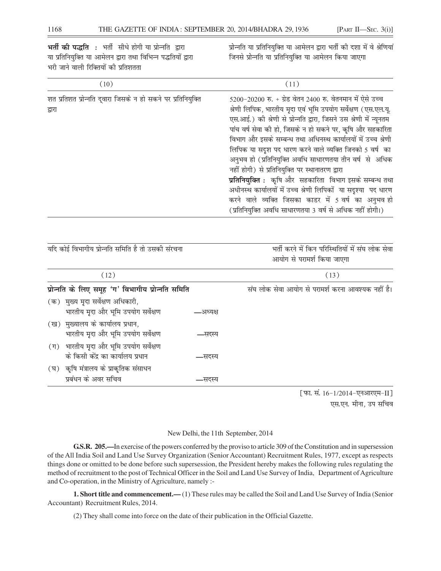भर्ती की पद्धति : भर्ती सीधे होगी या प्रोन्नति द्वारा प्रोन्नति या प्रतिनियुक्ति या आमेलन द्वारा भर्ती की दशा में वे श्रेणियां या प्रतिनियुक्ति या आमेलन द्वारा तथा विभिन्न पद्धतियों द्वारा जिनसे प्रोन्नति या प्रतिनियुक्ति या आमेलन किया जाएगा भरी जाने वाली रिक्तियों की प्रतिशतता  $(10)$  $(11)$ शत प्रतिशत प्रोन्नति दुवारा जिसके न हो सकने पर प्रतिनियुक्ति 5200-20200 रु. + ग्रेड वेतन 2400 रु. वेतनमान में ऐसे उच्च श्रेणी लिपिक, भारतीय मृदा एवं भूमि उपयोग सर्वेक्षण (एस.एल.यू. द्वारा एस.आई.) की श्रेणी से प्रोन्नति द्वारा, जिसने उस श्रेणी में न्यूनतम पांच वर्ष सेवा की हो, जिसके न हो सकने पर, कृषि और सहकारिता विभाग और इसके सम्बन्ध तथा अधिनस्थ कार्यालयों में उच्च श्रेणी लिपिक या सदृश पद धारण करने वाले व्यक्ति जिनको 5 वर्ष का अनुभव हो (प्रतिनियुक्ति अवधि साधारणतया तीन वर्ष से अधिक नहीं होगी) से प्रतिनियुक्ति पर स्थानातरण द्वारा **प्रतिनियुक्ति :** कृषि और सहकारिता विभाग इसके सम्बन्ध तथा अधीनस्थ कार्यालयों में उच्च श्रेणी लिपिकों या सदृश्या पद धारण करने वाले व्यक्ति जिसका काडर में 5 वर्ष का अनुभव हो (प्रतिनियुक्ति अवधि साधारणतया 3 वर्ष से अधिक नहीं होगी।)

| यदि कोई विभागीय प्रोन्नति समिति है तो उसकी संरचना |                                                                              |          | भर्ती करने में किन परिस्थितियों में संघ लोक सेवा<br>आयोग से परामर्श किया जाएगा |  |  |
|---------------------------------------------------|------------------------------------------------------------------------------|----------|--------------------------------------------------------------------------------|--|--|
|                                                   | (12)                                                                         |          | (13)                                                                           |  |  |
|                                                   | प्रोन्नति के लिए समूह 'ग' विभागीय प्रोन्नति समिति                            |          | संघ लोक सेवा आयोग से परामर्श करना आवश्यक नहीं है।                              |  |  |
|                                                   | (क) मुख्य मृदा सर्वेक्षण अधिकारी,<br>भारतीय मृदा और भूमि उपयोग सर्वेक्षण     | –अध्यक्ष |                                                                                |  |  |
|                                                   | (ख) मुख्यालय के कार्यालय प्रधान,<br>भारतीय मृदा और भूमि उपयोग सर्वेक्षण      | —सदस्य   |                                                                                |  |  |
|                                                   | (ग) भारतीय मृदा और भूमि उपयोग सर्वेक्षण<br>के किसी केंद्र का कार्यालय प्रधान | —सदस्य   |                                                                                |  |  |
|                                                   | (घ) कृषि मंत्रालय के प्राकृतिक संसाधन<br>प्रबंधन के अवर सचिव                 | —सदस्य   |                                                                                |  |  |
|                                                   |                                                                              |          | .                                                                              |  |  |

[फा. सं. 16-1/2014-एनआरएम-II] एस.एन. मीना, उप सचिव

## New Delhi, the 11th September, 2014

G.S.R. 205.—In exercise of the powers conferred by the proviso to article 309 of the Constitution and in supersession of the All India Soil and Land Use Survey Organization (Senior Accountant) Recruitment Rules, 1977, except as respects things done or omitted to be done before such supersession, the President hereby makes the following rules regulating the method of recruitment to the post of Technical Officer in the Soil and Land Use Survey of India, Department of Agriculture and Co-operation, in the Ministry of Agriculture, namely :-

**1. Short title and commencement.**—(1) These rules may be called the Soil and Land Use Survey of India (Senior Accountant) Recruitment Rules, 2014.

(2) They shall come into force on the date of their publication in the Official Gazette.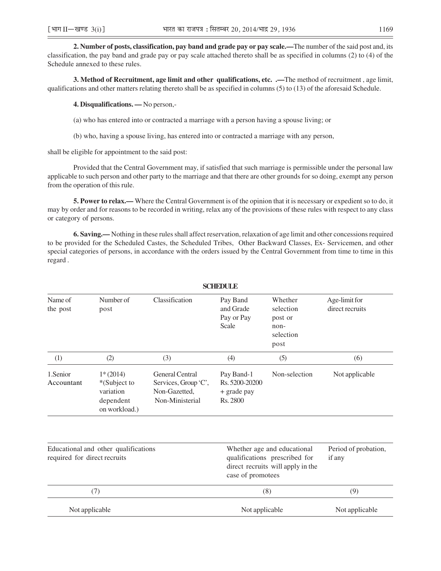**2. Number of posts, classification, pay band and grade pay or pay scale.—**The number of the said post and, its classification, the pay band and grade pay or pay scale attached thereto shall be as specified in columns (2) to (4) of the Schedule annexed to these rules.

**3. Method of Recruitment, age limit and other qualifications, etc. .—**The method of recruitment , age limit, qualifications and other matters relating thereto shall be as specified in columns (5) to (13) of the aforesaid Schedule.

**4. Disqualifications. —** No person,-

(a) who has entered into or contracted a marriage with a person having a spouse living; or

(b) who, having a spouse living, has entered into or contracted a marriage with any person,

shall be eligible for appointment to the said post:

Provided that the Central Government may, if satisfied that such marriage is permissible under the personal law applicable to such person and other party to the marriage and that there are other grounds for so doing, exempt any person from the operation of this rule.

**5. Power to relax.—** Where the Central Government is of the opinion that it is necessary or expedient so to do, it may by order and for reasons to be recorded in writing, relax any of the provisions of these rules with respect to any class or category of persons.

**6. Saving.—** Nothing in these rules shall affect reservation, relaxation of age limit and other concessions required to be provided for the Scheduled Castes, the Scheduled Tribes, Other Backward Classes, Ex- Servicemen, and other special categories of persons, in accordance with the orders issued by the Central Government from time to time in this regard .

| <b>SCHEDULE</b>                                                      |                                                                       |                                                                             |                                                                                                                        |                                                              |                                  |  |
|----------------------------------------------------------------------|-----------------------------------------------------------------------|-----------------------------------------------------------------------------|------------------------------------------------------------------------------------------------------------------------|--------------------------------------------------------------|----------------------------------|--|
| Name of<br>the post                                                  | Number of<br>post                                                     | Classification                                                              | Pay Band<br>and Grade<br>Pay or Pay<br>Scale                                                                           | Whether<br>selection<br>post or<br>non-<br>selection<br>post | Age-limit for<br>direct recruits |  |
| (1)                                                                  | (2)                                                                   | (3)                                                                         | (4)                                                                                                                    | (5)                                                          | (6)                              |  |
| 1.Senior<br>Accountant                                               | $1*(2014)$<br>*(Subject to<br>variation<br>dependent<br>on workload.) | General Central<br>Services, Group 'C',<br>Non-Gazetted,<br>Non-Ministerial | Pay Band-1<br>Rs. 5200-20200<br>+ grade pay<br>Rs. 2800                                                                | Non-selection                                                | Not applicable                   |  |
| Educational and other qualifications<br>required for direct recruits |                                                                       |                                                                             | Whether age and educational<br>qualifications prescribed for<br>direct recruits will apply in the<br>case of promotees |                                                              | Period of probation,<br>if any   |  |
| (7)                                                                  |                                                                       |                                                                             | (8)                                                                                                                    |                                                              | (9)                              |  |
| Not applicable                                                       |                                                                       |                                                                             | Not applicable                                                                                                         |                                                              | Not applicable                   |  |